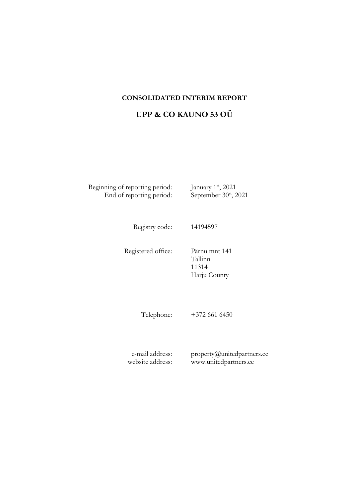## **CONSOLIDATED INTERIM REPORT**

# **UPP & CO KAUNO 53 OÜ**

Beginning of reporting period: End of reporting period: st , 2021  $s<sup>st</sup>$ , 2021

Registry code: 14194597

Registered office: Pärnu mnt 141 Tallinn 11314 Harju County

Telephone: +372 661 6450

e-mail address: website address: property@unitedpartners.ee www.unitedpartners.ee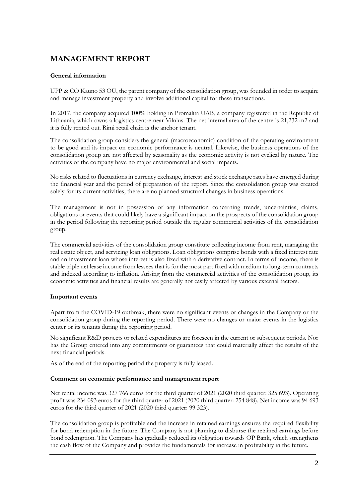## **MANAGEMENT REPORT**

### **General information**

UPP & CO Kauno 53 OÜ, the parent company of the consolidation group, was founded in order to acquire and manage investment property and involve additional capital for these transactions.

In 2017, the company acquired 100% holding in Promalita UAB, a company registered in the Republic of Lithuania, which owns a logistics centre near Vilnius. The net internal area of the centre is 21,232 m2 and it is fully rented out. Rimi retail chain is the anchor tenant.

The consolidation group considers the general (macroeconomic) condition of the operating environment to be good and its impact on economic performance is neutral. Likewise, the business operations of the consolidation group are not affected by seasonality as the economic activity is not cyclical by nature. The activities of the company have no major environmental and social impacts.

No risks related to fluctuations in currency exchange, interest and stock exchange rates have emerged during the financial year and the period of preparation of the report. Since the consolidation group was created solely for its current activities, there are no planned structural changes in business operations.

The management is not in possession of any information concerning trends, uncertainties, claims, obligations or events that could likely have a significant impact on the prospects of the consolidation group in the period following the reporting period outside the regular commercial activities of the consolidation group.

The commercial activities of the consolidation group constitute collecting income from rent, managing the real estate object, and servicing loan obligations. Loan obligations comprise bonds with a fixed interest rate and an investment loan whose interest is also fixed with a derivative contract. In terms of income, there is stable triple net lease income from lessees that is for the most part fixed with medium to long-term contracts and indexed according to inflation. Arising from the commercial activities of the consolidation group, its economic activities and financial results are generally not easily affected by various external factors.

### **Important events**

Apart from the COVID-19 outbreak, there were no significant events or changes in the Company or the consolidation group during the reporting period. There were no changes or major events in the logistics center or its tenants during the reporting period.

No significant R&D projects or related expenditures are foreseen in the current or subsequent periods. Nor has the Group entered into any commitments or guarantees that could materially affect the results of the next financial periods.

As of the end of the reporting period the property is fully leased.

#### **Comment on economic performance and management report**

Net rental income was 327 766 euros for the third quarter of 2021 (2020 third quarter: 325 693). Operating profit was 234 093 euros for the third quarter of 2021 (2020 third quarter: 254 848). Net income was 94 693 euros for the third quarter of 2021 (2020 third quarter: 99 323).

The consolidation group is profitable and the increase in retained earnings ensures the required flexibility for bond redemption in the future. The Company is not planning to disburse the retained earnings before bond redemption. The Company has gradually reduced its obligation towards OP Bank, which strengthens the cash flow of the Company and provides the fundamentals for increase in profitability in the future.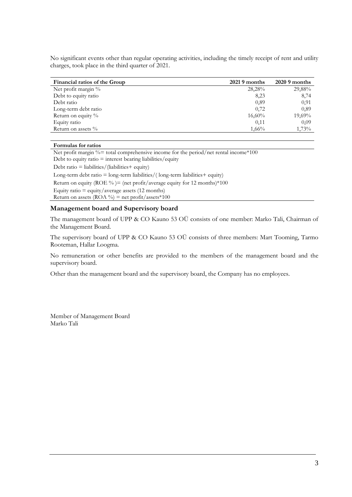No significant events other than regular operating activities, including the timely receipt of rent and utility charges, took place in the third quarter of 2021.

| Financial ratios of the Group | $20219$ months | $2020.9$ months |
|-------------------------------|----------------|-----------------|
| Net profit margin %           | 28,28%         | 29,88%          |
| Debt to equity ratio          | 8,23           | 8,74            |
| Debt ratio                    | 0,89           | 0.91            |
| Long-term debt ratio          | 0,72           | 0.89            |
| Return on equity %            | $16,60\%$      | 19,69%          |
| Equity ratio                  | 0,11           | 0.09            |
| Return on assets $\%$         | $1,66\%$       | 1,73%           |

#### **Formulas for ratios**

Net profit margin  $\%$  = total comprehensive income for the period/net rental income\*100 Debt to equity ratio  $=$  interest bearing liabilities/equity Debt ratio = liabilities/(liabilities+ equity)

Long-term debt ratio  $=$  long-term liabilities/(long-term liabilities  $+$  equity) Return on equity (ROE %) = (net profit/average equity for 12 months) \*100 Equity ratio  $=$  equity/average assets (12 months)

Return on assets (ROA %) = net profit/assets\*100

#### **Management board and Supervisory board**

The management board of UPP & CO Kauno 53 OÜ consists of one member: Marko Tali, Chairman of the Management Board.

The supervisory board of UPP & CO Kauno 53 OÜ consists of three members: Mart Tooming, Tarmo Rooteman, Hallar Loogma.

No remuneration or other benefits are provided to the members of the management board and the supervisory board.

Other than the management board and the supervisory board, the Company has no employees.

Member of Management Board Marko Tali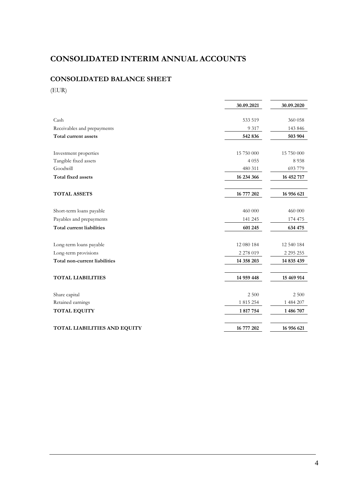# **CONSOLIDATED INTERIM ANNUAL ACCOUNTS**

## **CONSOLIDATED BALANCE SHEET**

(EUR)

| 30.09.2021                          |            | 30.09.2020    |  |
|-------------------------------------|------------|---------------|--|
| Cash                                | 533 519    | 360 058       |  |
| Receivables and prepayments         | 9 3 1 7    | 143 846       |  |
| Total current assets                | 542 836    | 503 904       |  |
|                                     |            |               |  |
| Investment properties               | 15 750 000 | 15 750 000    |  |
| Tangible fixed assets               | 4055       | 8938          |  |
| Goodwill                            | 480 311    | 693 779       |  |
| Total fixed assets                  | 16 234 366 | 16 452 717    |  |
| <b>TOTAL ASSETS</b>                 | 16 777 202 | 16 956 621    |  |
| Short-term loans payable            | 460 000    | 460 000       |  |
| Payables and prepayments            | 141 245    | 174 475       |  |
| <b>Total current liabilities</b>    | 601 245    | 634 475       |  |
| Long-term loans payable             | 12 080 184 | 12 540 184    |  |
| Long-term provisions                | 2 278 019  | 2 2 9 5 2 5 5 |  |
| Total non-current liabilities       | 14 358 203 | 14 835 439    |  |
| <b>TOTAL LIABILITIES</b>            | 14 959 448 | 15 469 914    |  |
|                                     |            |               |  |
| Share capital                       | 2 500      | 2 500         |  |
| Retained earnings                   | 1 815 254  | 1 484 207     |  |
| <b>TOTAL EQUITY</b>                 | 1817754    | 1 486 707     |  |
| <b>TOTAL LIABILITIES AND EQUITY</b> | 16 777 202 | 16 956 621    |  |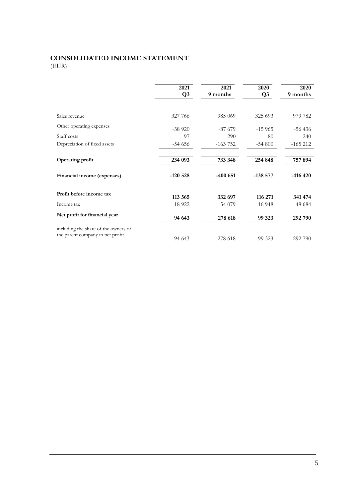### **CONSOLIDATED INCOME STATEMENT** (EUR)

**2021 Q3 2021 9 months 2020 Q3 2020 9 months** Sales revenue 327 766 985 069 325 693 979 782 Other operating expenses -38 920 -87 679 -15 965 -56 436 Staff costs -97 -290 -80 -240 Depreciation of fixed assets -54 656 -163 752 -54 800 -165 212 **Operating profit 234 093 733 348 254 848 757 894 Financial income (expenses) -120 528 -400 651 -138 577 -416 420 Profit before income tax 113 565 332 697 116 271 341 474** Income tax **-18 922** -54 079 -16 948 -48 684 **Net profit for financial year 94 643 278 618 99 323 292 790** including the share of the owners of the parent company in net profit 94 643 278 618 99 323 292 790